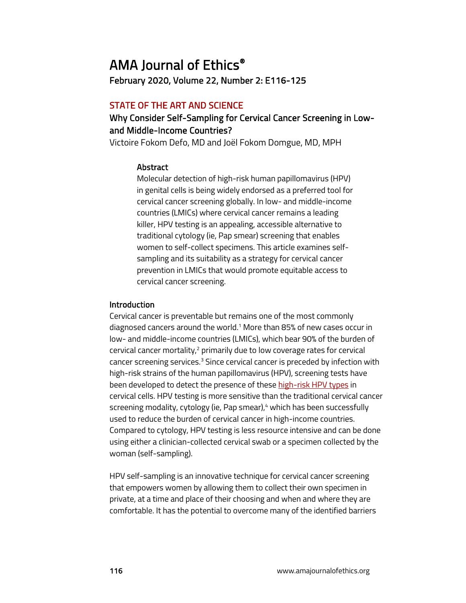# AMA Journal of Ethics®

February 2020, Volume 22, Number 2: E116-125

## STATE OF THE ART AND SCIENCE

## Why Consider Self-Sampling for Cervical Cancer Screening in Lowand Middle-Income Countries?

Victoire Fokom Defo, MD and Joël Fokom Domgue, MD, MPH

#### Abstract

Molecular detection of high-risk human papillomavirus (HPV) in genital cells is being widely endorsed as a preferred tool for cervical cancer screening globally. In low- and middle-income countries (LMICs) where cervical cancer remains a leading killer, HPV testing is an appealing, accessible alternative to traditional cytology (ie, Pap smear) screening that enables women to self-collect specimens. This article examines selfsampling and its suitability as a strategy for cervical cancer prevention in LMICs that would promote equitable access to cervical cancer screening.

#### Introduction

Cervical cancer is preventable but remains one of the most commonly diagnosed cancers around the world.<sup>1</sup> More than 85% of new cases occur in low- and middle-income countries (LMICs), which bear 90% of the burden of cervical cancer mortality,<sup>2</sup> primarily due to low coverage rates for cervical cancer screening services.<sup>3</sup> Since cervical cancer is preceded by infection with high-risk strains of the human papillomavirus (HPV), screening tests have been developed to detect the presence of these [high-risk HPV types](https://journalofethics.ama-assn.org/article/investigating-how-geography-citizenship-and-insurance-influence-hpv-vaccination/2019-03) in cervical cells. HPV testing is more sensitive than the traditional cervical cancer screening modality, cytology (ie, Pap smear),<sup>4</sup> which has been successfully used to reduce the burden of cervical cancer in high-income countries. Compared to cytology, HPV testing is less resource intensive and can be done using either a clinician-collected cervical swab or a specimen collected by the woman (self-sampling).

HPV self-sampling is an innovative technique for cervical cancer screening that empowers women by allowing them to collect their own specimen in private, at a time and place of their choosing and when and where they are comfortable. It has the potential to overcome many of the identified barriers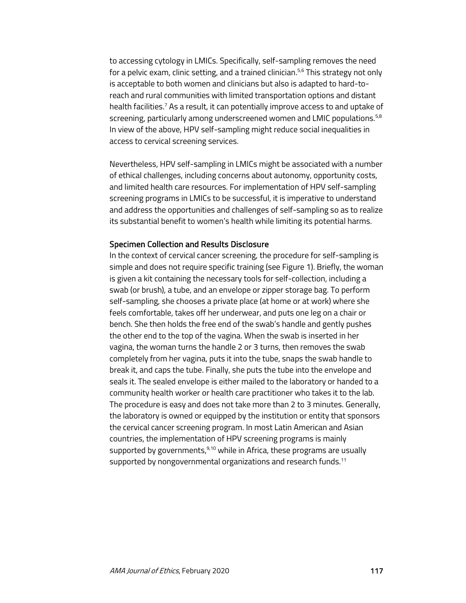to accessing cytology in LMICs. Specifically, self-sampling removes the need for a pelvic exam, clinic setting, and a trained clinician.<sup>5,6</sup> This strategy not only is acceptable to both women and clinicians but also is adapted to hard-toreach and rural communities with limited transportation options and distant health facilities.<sup>7</sup> As a result, it can potentially improve access to and uptake of screening, particularly among underscreened women and LMIC populations.<sup>5,8</sup> In view of the above, HPV self-sampling might reduce social inequalities in access to cervical screening services.

Nevertheless, HPV self-sampling in LMICs might be associated with a number of ethical challenges, including concerns about autonomy, opportunity costs, and limited health care resources. For implementation of HPV self-sampling screening programs in LMICs to be successful, it is imperative to understand and address the opportunities and challenges of self-sampling so as to realize its substantial benefit to women's health while limiting its potential harms.

#### Specimen Collection and Results Disclosure

In the context of cervical cancer screening, the procedure for self-sampling is simple and does not require specific training (see Figure 1). Briefly, the woman is given a kit containing the necessary tools for self-collection, including a swab (or brush), a tube, and an envelope or zipper storage bag. To perform self-sampling, she chooses a private place (at home or at work) where she feels comfortable, takes off her underwear, and puts one leg on a chair or bench. She then holds the free end of the swab's handle and gently pushes the other end to the top of the vagina. When the swab is inserted in her vagina, the woman turns the handle 2 or 3 turns, then removes the swab completely from her vagina, puts it into the tube, snaps the swab handle to break it, and caps the tube. Finally, she puts the tube into the envelope and seals it. The sealed envelope is either mailed to the laboratory or handed to a community health worker or health care practitioner who takes it to the lab. The procedure is easy and does not take more than 2 to 3 minutes. Generally, the laboratory is owned or equipped by the institution or entity that sponsors the cervical cancer screening program. In most Latin American and Asian countries, the implementation of HPV screening programs is mainly supported by governments, $9,10$  while in Africa, these programs are usually supported by nongovernmental organizations and research funds.<sup>11</sup>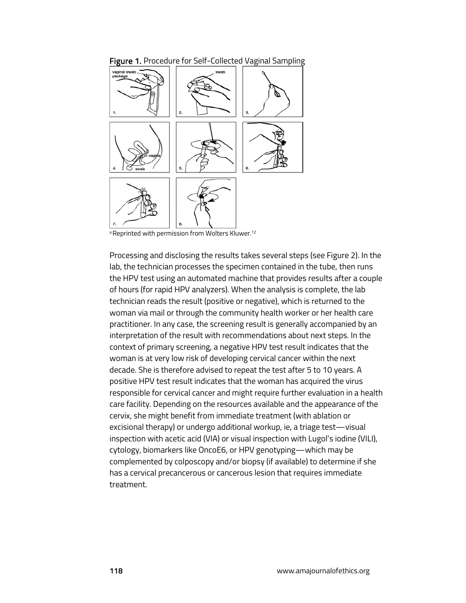

Figure 1. Procedure for Self-Collected Vaginal Sampling

<sup>a</sup> Reprinted with permission from Wolters Kluwer.<sup>12</sup>

Processing and disclosing the results takes several steps (see Figure 2). In the lab, the technician processes the specimen contained in the tube, then runs the HPV test using an automated machine that provides results after a couple of hours (for rapid HPV analyzers). When the analysis is complete, the lab technician reads the result (positive or negative), which is returned to the woman via mail or through the community health worker or her health care practitioner. In any case, the screening result is generally accompanied by an interpretation of the result with recommendations about next steps. In the context of primary screening, a negative HPV test result indicates that the woman is at very low risk of developing cervical cancer within the next decade. She is therefore advised to repeat the test after 5 to 10 years. A positive HPV test result indicates that the woman has acquired the virus responsible for cervical cancer and might require further evaluation in a health care facility. Depending on the resources available and the appearance of the cervix, she might benefit from immediate treatment (with ablation or excisional therapy) or undergo additional workup, ie, a triage test—visual inspection with acetic acid (VIA) or visual inspection with Lugol's iodine (VILI), cytology, biomarkers like OncoE6, or HPV genotyping—which may be complemented by colposcopy and/or biopsy (if available) to determine if she has a cervical precancerous or cancerous lesion that requires immediate treatment.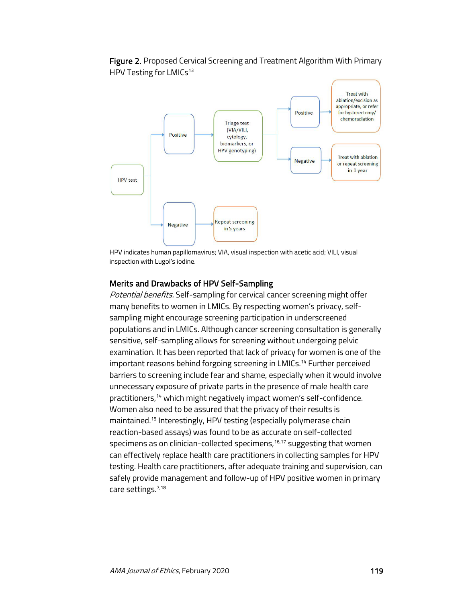

### Figure 2. Proposed Cervical Screening and Treatment Algorithm With Primary HPV Testing for LMICs<sup>13</sup>

HPV indicates human papillomavirus; VIA, visual inspection with acetic acid; VILI, visual inspection with Lugol's iodine.

#### Merits and Drawbacks of HPV Self-Sampling

Potential benefits. Self-sampling for cervical cancer screening might offer many benefits to women in LMICs. By respecting women's privacy, selfsampling might encourage screening participation in underscreened populations and in LMICs. Although cancer screening consultation is generally sensitive, self-sampling allows for screening without undergoing pelvic examination. It has been reported that lack of privacy for women is one of the important reasons behind forgoing screening in LMICs.<sup>14</sup> Further perceived barriers to screening include fear and shame, especially when it would involve unnecessary exposure of private parts in the presence of male health care practitioners,<sup>14</sup> which might negatively impact women's self-confidence. Women also need to be assured that the privacy of their results is maintained.15 Interestingly, HPV testing (especially polymerase chain reaction-based assays) was found to be as accurate on self-collected specimens as on clinician-collected specimens,<sup>16,17</sup> suggesting that women can effectively replace health care practitioners in collecting samples for HPV testing. Health care practitioners, after adequate training and supervision, can safely provide management and follow-up of HPV positive women in primary care settings.<sup>7,18</sup>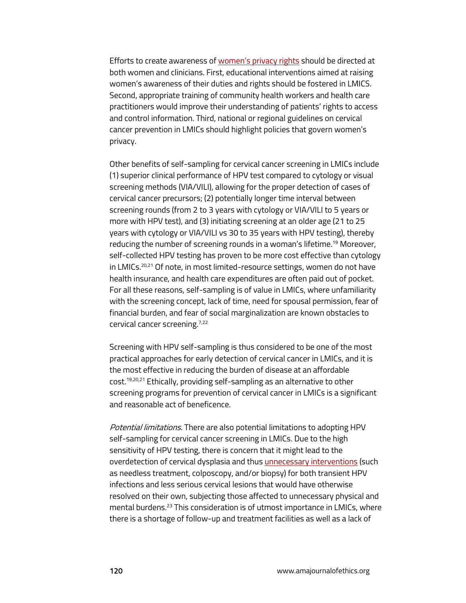Efforts to create awareness o[f women's privacy rights](https://journalofethics.ama-assn.org/article/best-practices-partnering-ethnic-minority-serving-religious-organizations-health-promotion-and/2018-07) should be directed at both women and clinicians. First, educational interventions aimed at raising women's awareness of their duties and rights should be fostered in LMICS. Second, appropriate training of community health workers and health care practitioners would improve their understanding of patients' rights to access and control information. Third, national or regional guidelines on cervical cancer prevention in LMICs should highlight policies that govern women's privacy.

Other benefits of self-sampling for cervical cancer screening in LMICs include (1) superior clinical performance of HPV test compared to cytology or visual screening methods (VIA/VILI), allowing for the proper detection of cases of cervical cancer precursors; (2) potentially longer time interval between screening rounds (from 2 to 3 years with cytology or VIA/VILI to 5 years or more with HPV test), and (3) initiating screening at an older age (21 to 25 years with cytology or VIA/VILI vs 30 to 35 years with HPV testing), thereby reducing the number of screening rounds in a woman's lifetime.<sup>19</sup> Moreover, self-collected HPV testing has proven to be more cost effective than cytology in LMICs.<sup>20,21</sup> Of note, in most limited-resource settings, women do not have health insurance, and health care expenditures are often paid out of pocket. For all these reasons, self-sampling is of value in LMICs, where unfamiliarity with the screening concept, lack of time, need for spousal permission, fear of financial burden, and fear of social marginalization are known obstacles to cervical cancer screening.<sup>7,22</sup>

Screening with HPV self-sampling is thus considered to be one of the most practical approaches for early detection of cervical cancer in LMICs, and it is the most effective in reducing the burden of disease at an affordable cost.19,20,21 Ethically, providing self-sampling as an alternative to other screening programs for prevention of cervical cancer in LMICs is a significant and reasonable act of beneficence.

Potential limitations. There are also potential limitations to adopting HPV self-sampling for cervical cancer screening in LMICs. Due to the high sensitivity of HPV testing, there is concern that it might lead to the overdetection of cervical dysplasia and thus [unnecessary interventions](https://journalofethics.ama-assn.org/article/more-screening-always-better/2014-02) (such as needless treatment, colposcopy, and/or biopsy) for both transient HPV infections and less serious cervical lesions that would have otherwise resolved on their own, subjecting those affected to unnecessary physical and mental burdens.<sup>23</sup> This consideration is of utmost importance in LMICs, where there is a shortage of follow-up and treatment facilities as well as a lack of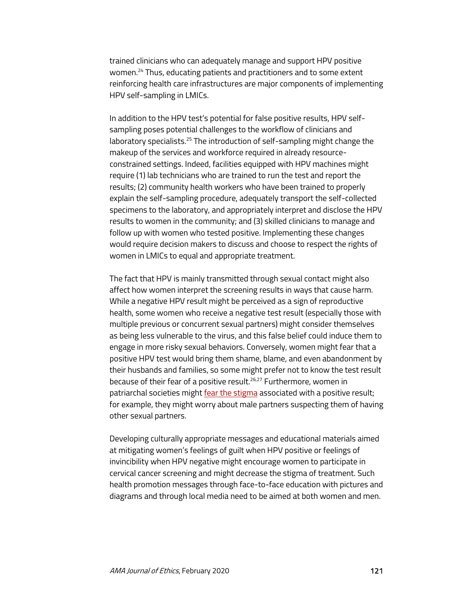trained clinicians who can adequately manage and support HPV positive women.<sup>24</sup> Thus, educating patients and practitioners and to some extent reinforcing health care infrastructures are major components of implementing HPV self-sampling in LMICs.

In addition to the HPV test's potential for false positive results, HPV selfsampling poses potential challenges to the workflow of clinicians and laboratory specialists.<sup>25</sup> The introduction of self-sampling might change the makeup of the services and workforce required in already resourceconstrained settings. Indeed, facilities equipped with HPV machines might require (1) lab technicians who are trained to run the test and report the results; (2) community health workers who have been trained to properly explain the self-sampling procedure, adequately transport the self-collected specimens to the laboratory, and appropriately interpret and disclose the HPV results to women in the community; and (3) skilled clinicians to manage and follow up with women who tested positive. Implementing these changes would require decision makers to discuss and choose to respect the rights of women in LMICs to equal and appropriate treatment.

The fact that HPV is mainly transmitted through sexual contact might also affect how women interpret the screening results in ways that cause harm. While a negative HPV result might be perceived as a sign of reproductive health, some women who receive a negative test result (especially those with multiple previous or concurrent sexual partners) might consider themselves as being less vulnerable to the virus, and this false belief could induce them to engage in more risky sexual behaviors. Conversely, women might fear that a positive HPV test would bring them shame, blame, and even abandonment by their husbands and families, so some might prefer not to know the test result because of their fear of a positive result.<sup>26,27</sup> Furthermore, women in patriarchal societies might [fear the stigma](https://journalofethics.ama-assn.org/article/stigmatization-complicates-infectious-disease-management/2010-03) associated with a positive result; for example, they might worry about male partners suspecting them of having other sexual partners.

Developing culturally appropriate messages and educational materials aimed at mitigating women's feelings of guilt when HPV positive or feelings of invincibility when HPV negative might encourage women to participate in cervical cancer screening and might decrease the stigma of treatment. Such health promotion messages through face-to-face education with pictures and diagrams and through local media need to be aimed at both women and men.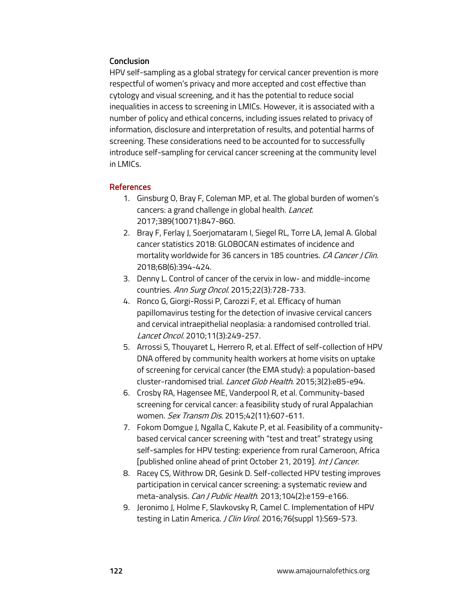#### **Conclusion**

HPV self-sampling as a global strategy for cervical cancer prevention is more respectful of women's privacy and more accepted and cost effective than cytology and visual screening, and it has the potential to reduce social inequalities in access to screening in LMICs. However, it is associated with a number of policy and ethical concerns, including issues related to privacy of information, disclosure and interpretation of results, and potential harms of screening. These considerations need to be accounted for to successfully introduce self-sampling for cervical cancer screening at the community level in LMICs.

#### References

- 1. Ginsburg O, Bray F, Coleman MP, et al. The global burden of women's cancers: a grand challenge in global health. *Lancet*. 2017;389(10071):847-860.
- 2. Bray F, Ferlay J, Soerjomataram I, Siegel RL, Torre LA, Jemal A. Global cancer statistics 2018: GLOBOCAN estimates of incidence and mortality worldwide for 36 cancers in 185 countries. CA Cancer J Clin. 2018;68(6):394-424.
- 3. Denny L. Control of cancer of the cervix in low- and middle-income countries. Ann Surg Oncol. 2015;22(3):728-733.
- 4. Ronco G, Giorgi-Rossi P, Carozzi F, et al. Efficacy of human papillomavirus testing for the detection of invasive cervical cancers and cervical intraepithelial neoplasia: a randomised controlled trial. Lancet Oncol. 2010;11(3):249-257.
- 5. Arrossi S, Thouyaret L, Herrero R, et al. Effect of self-collection of HPV DNA offered by community health workers at home visits on uptake of screening for cervical cancer (the EMA study): a population-based cluster-randomised trial. Lancet Glob Health. 2015;3(2):e85-e94.
- 6. Crosby RA, Hagensee ME, Vanderpool R, et al. Community-based screening for cervical cancer: a feasibility study of rural Appalachian women. Sex Transm Dis. 2015;42(11):607-611.
- 7. Fokom Domgue J, Ngalla C, Kakute P, et al. Feasibility of a communitybased cervical cancer screening with "test and treat" strategy using self-samples for HPV testing: experience from rural Cameroon, Africa [published online ahead of print October 21, 2019]. Int J Cancer.
- 8. Racey CS, Withrow DR, Gesink D. Self-collected HPV testing improves participation in cervical cancer screening: a systematic review and meta-analysis. Can J Public Health. 2013;104(2):e159-e166.
- 9. Jeronimo J, Holme F, Slavkovsky R, Camel C. Implementation of HPV testing in Latin America. J Clin Virol. 2016;76(suppl 1):S69-S73.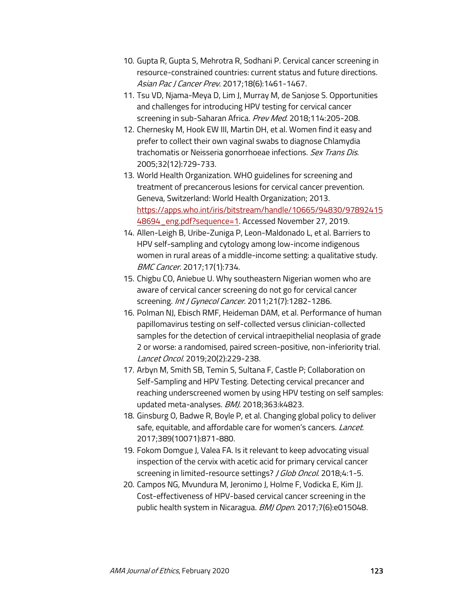- 10. Gupta R, Gupta S, Mehrotra R, Sodhani P. Cervical cancer screening in resource-constrained countries: current status and future directions. Asian Pac J Cancer Prev. 2017;18(6):1461-1467.
- 11. Tsu VD, Njama-Meya D, Lim J, Murray M, de Sanjose S. Opportunities and challenges for introducing HPV testing for cervical cancer screening in sub-Saharan Africa. Prev Med. 2018;114:205-208.
- 12. Chernesky M, Hook EW III, Martin DH, et al. Women find it easy and prefer to collect their own vaginal swabs to diagnose Chlamydia trachomatis or Neisseria gonorrhoeae infections. Sex Trans Dis. 2005;32(12):729-733.
- 13. World Health Organization. WHO guidelines for screening and treatment of precancerous lesions for cervical cancer prevention. Geneva, Switzerland: World Health Organization; 2013. [https://apps.who.int/iris/bitstream/handle/10665/94830/97892415](https://apps.who.int/iris/bitstream/handle/10665/94830/9789241548694_eng.pdf?sequence=1) [48694\\_eng.pdf?sequence=1.](https://apps.who.int/iris/bitstream/handle/10665/94830/9789241548694_eng.pdf?sequence=1) Accessed November 27, 2019.
- 14. Allen-Leigh B, Uribe-Zuniga P, Leon-Maldonado L, et al. Barriers to HPV self-sampling and cytology among low-income indigenous women in rural areas of a middle-income setting: a qualitative study. BMC Cancer. 2017;17(1):734.
- 15. Chigbu CO, Aniebue U. Why southeastern Nigerian women who are aware of cervical cancer screening do not go for cervical cancer screening. Int J Gynecol Cancer. 2011;21(7):1282-1286.
- 16. Polman NJ, Ebisch RMF, Heideman DAM, et al. Performance of human papillomavirus testing on self-collected versus clinician-collected samples for the detection of cervical intraepithelial neoplasia of grade 2 or worse: a randomised, paired screen-positive, non-inferiority trial. Lancet Oncol. 2019;20(2):229-238.
- 17. Arbyn M, Smith SB, Temin S, Sultana F, Castle P; Collaboration on Self-Sampling and HPV Testing. Detecting cervical precancer and reaching underscreened women by using HPV testing on self samples: updated meta-analyses. BMJ. 2018;363:k4823.
- 18. Ginsburg O, Badwe R, Boyle P, et al. Changing global policy to deliver safe, equitable, and affordable care for women's cancers. Lancet. 2017;389(10071):871-880.
- 19. Fokom Domgue J, Valea FA. Is it relevant to keep advocating visual inspection of the cervix with acetic acid for primary cervical cancer screening in limited-resource settings? *J Glob Oncol*. 2018;4:1-5.
- 20. Campos NG, Mvundura M, Jeronimo J, Holme F, Vodicka E, Kim JJ. Cost-effectiveness of HPV-based cervical cancer screening in the public health system in Nicaragua. BMJ Open. 2017;7(6):e015048.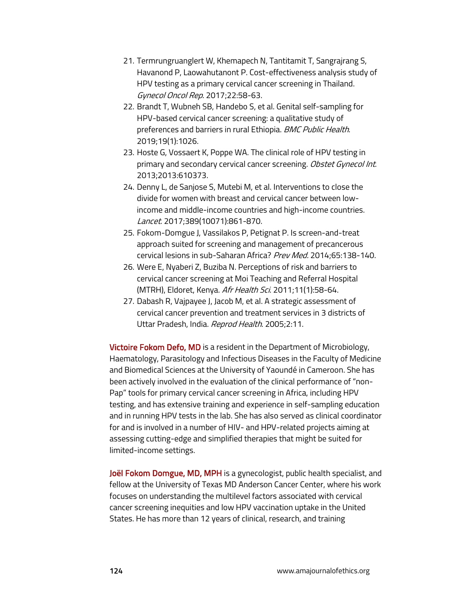- 21. Termrungruanglert W, Khemapech N, Tantitamit T, Sangrajrang S, Havanond P, Laowahutanont P. Cost-effectiveness analysis study of HPV testing as a primary cervical cancer screening in Thailand. Gynecol Oncol Rep. 2017;22:58-63.
- 22. Brandt T, Wubneh SB, Handebo S, et al. Genital self-sampling for HPV-based cervical cancer screening: a qualitative study of preferences and barriers in rural Ethiopia. BMC Public Health. 2019;19(1):1026.
- 23. Hoste G, Vossaert K, Poppe WA. The clinical role of HPV testing in primary and secondary cervical cancer screening. Obstet Gynecol Int. 2013;2013:610373.
- 24. Denny L, de Sanjose S, Mutebi M, et al. Interventions to close the divide for women with breast and cervical cancer between lowincome and middle-income countries and high-income countries. Lancet. 2017;389(10071):861-870.
- 25. Fokom-Domgue J, Vassilakos P, Petignat P. Is screen-and-treat approach suited for screening and management of precancerous cervical lesions in sub-Saharan Africa? Prev Med. 2014;65:138-140.
- 26. Were E, Nyaberi Z, Buziba N. Perceptions of risk and barriers to cervical cancer screening at Moi Teaching and Referral Hospital (MTRH), Eldoret, Kenya. Afr Health Sci. 2011;11(1):58-64.
- 27. Dabash R, Vajpayee J, Jacob M, et al. A strategic assessment of cervical cancer prevention and treatment services in 3 districts of Uttar Pradesh, India. Reprod Health. 2005;2:11.

Victoire Fokom Defo, MD is a resident in the Department of Microbiology, Haematology, Parasitology and Infectious Diseases in the Faculty of Medicine and Biomedical Sciences at the University of Yaoundé in Cameroon. She has been actively involved in the evaluation of the clinical performance of "non-Pap" tools for primary cervical cancer screening in Africa, including HPV testing, and has extensive training and experience in self-sampling education and in running HPV tests in the lab. She has also served as clinical coordinator for and is involved in a number of HIV- and HPV-related projects aiming at assessing cutting-edge and simplified therapies that might be suited for limited-income settings.

Joël Fokom Domgue, MD, MPH is a gynecologist, public health specialist, and fellow at the University of Texas MD Anderson Cancer Center, where his work focuses on understanding the multilevel factors associated with cervical cancer screening inequities and low HPV vaccination uptake in the United States. He has more than 12 years of clinical, research, and training